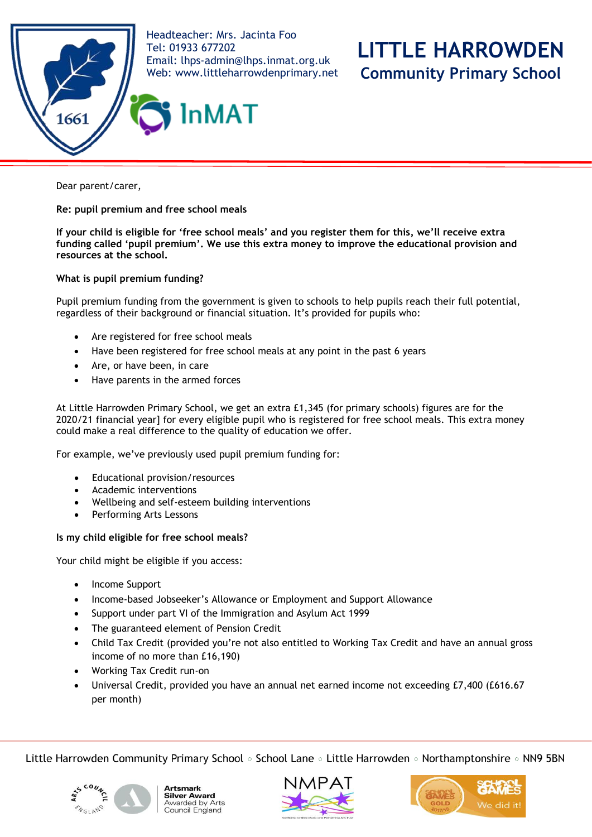

Dear parent/carer,

**Re: pupil premium and free school meals**

**If your child is eligible for 'free school meals' and you register them for this, we'll receive extra funding called 'pupil premium'. We use this extra money to improve the educational provision and resources at the school.** 

**What is pupil premium funding?**

Pupil premium funding from the government is given to schools to help pupils reach their full potential, regardless of their background or financial situation. It's provided for pupils who:

- Are registered for free school meals
- Have been registered for free school meals at any point in the past 6 years
- Are, or have been, in care
- Have parents in the armed forces

At Little Harrowden Primary School, we get an extra £1,345 (for primary schools) figures are for the 2020/21 financial year] for every eligible pupil who is registered for free school meals. This extra money could make a real difference to the quality of education we offer.

For example, we've previously used pupil premium funding for:

- Educational provision/resources
- Academic interventions
- Wellbeing and self-esteem building interventions
- Performing Arts Lessons

# **Is my child eligible for free school meals?**

Your child might be eligible if you access:

- Income Support
- Income-based Jobseeker's Allowance or Employment and Support Allowance
- Support under part VI of the Immigration and Asylum Act 1999
- The guaranteed element of Pension Credit
- Child Tax Credit (provided you're not also entitled to Working Tax Credit and have an annual gross income of no more than £16,190)
- Working Tax Credit run-on
- Universal Credit, provided you have an annual net earned income not exceeding £7,400 (£616.67 per month)

Little Harrowden Community Primary School • School Lane • Little Harrowden • Northamptonshire • NN9 5BN









**LITTLE HARROWDEN**

**Community Primary School**